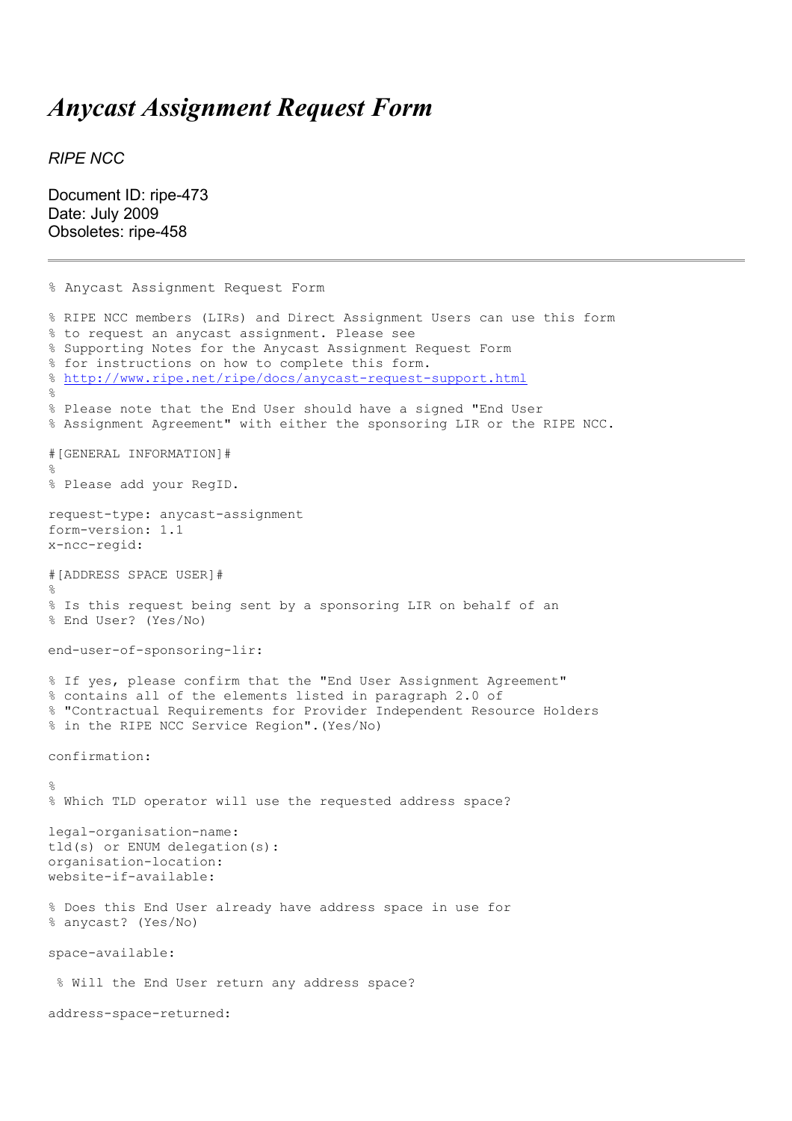## *Anycast Assignment Request Form*

*RIPE NCC*

Document ID: ripe-473 Date: July 2009 Obsoletes: ripe-458

```
% Anycast Assignment Request Form
% RIPE NCC members (LIRs) and Direct Assignment Users can use this form
% to request an anycast assignment. Please see 
% Supporting Notes for the Anycast Assignment Request Form 
% for instructions on how to complete this form.
% http://www.ripe.net/ripe/docs/anycast-request-support.html
\circ% Please note that the End User should have a signed "End User 
% Assignment Agreement" with either the sponsoring LIR or the RIPE NCC.
#[GENERAL INFORMATION]#
\mathsf{S}% Please add your RegID.
request-type: anycast-assignment
form-version: 1.1
x-ncc-regid: 
#[ADDRESS SPACE USER]#
%
% Is this request being sent by a sponsoring LIR on behalf of an 
% End User? (Yes/No)
end-user-of-sponsoring-lir: 
% If yes, please confirm that the "End User Assignment Agreement" 
% contains all of the elements listed in paragraph 2.0 of 
% "Contractual Requirements for Provider Independent Resource Holders 
% in the RIPE NCC Service Region".(Yes/No)
confirmation:
\mathbf{Q}% Which TLD operator will use the requested address space?
legal-organisation-name: 
tld(s) or ENUM delegation(s): 
organisation-location: 
website-if-available: 
% Does this End User already have address space in use for
% anycast? (Yes/No)
space-available: 
  % Will the End User return any address space?
address-space-returned:
```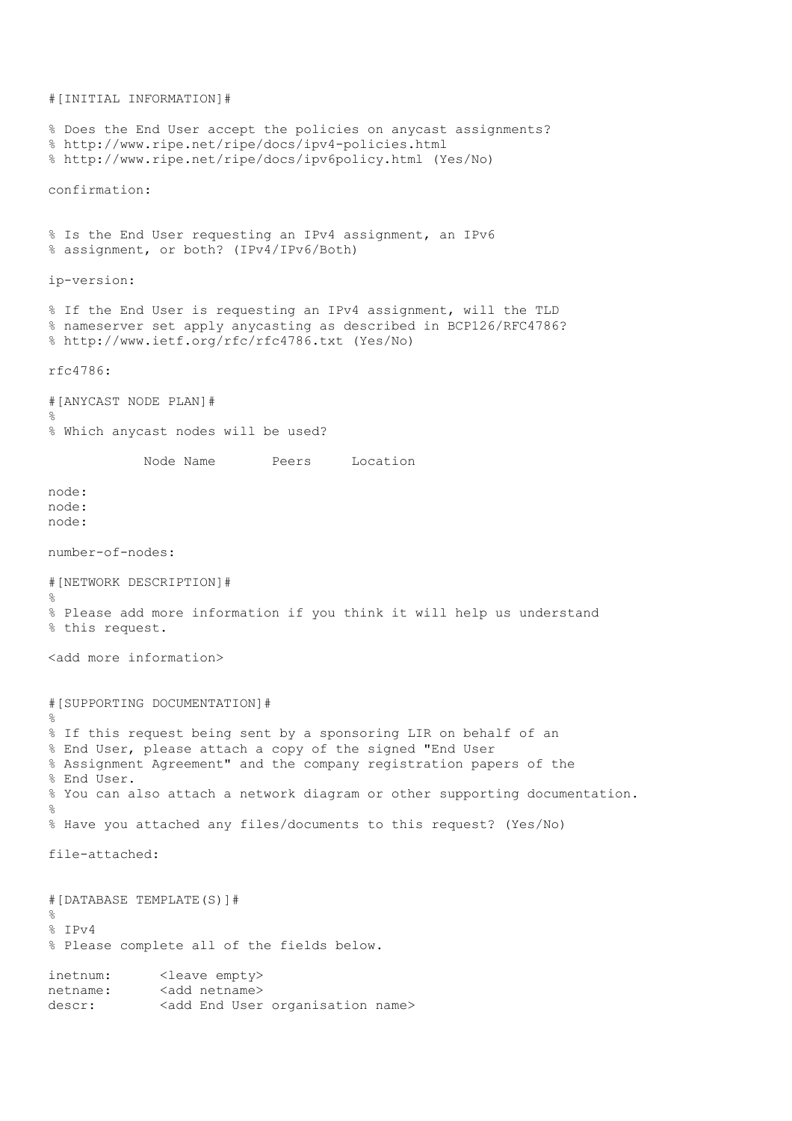#[INITIAL INFORMATION]# % Does the End User accept the policies on anycast assignments? % http://www.ripe.net/ripe/docs/ipv4-policies.html % http://www.ripe.net/ripe/docs/ipv6policy.html (Yes/No) confirmation: % Is the End User requesting an IPv4 assignment, an IPv6 % assignment, or both? (IPv4/IPv6/Both) ip-version: % If the End User is requesting an IPv4 assignment, will the TLD % nameserver set apply anycasting as described in BCP126/RFC4786? % http://www.ietf.org/rfc/rfc4786.txt (Yes/No) rfc4786: #[ANYCAST NODE PLAN]# % % Which anycast nodes will be used? Node Name Peers Location node: node: node: number-of-nodes: #[NETWORK DESCRIPTION]# % % Please add more information if you think it will help us understand % this request. <add more information> #[SUPPORTING DOCUMENTATION]#  $\frac{1}{2}$ % If this request being sent by a sponsoring LIR on behalf of an % End User, please attach a copy of the signed "End User % Assignment Agreement" and the company registration papers of the % End User. % You can also attach a network diagram or other supporting documentation. % % Have you attached any files/documents to this request? (Yes/No) file-attached: #[DATABASE TEMPLATE(S)]#  $\approx$ % IPv4 % Please complete all of the fields below. inetnum: <leave empty> netname: <add netname> descr: <add End User organisation name>